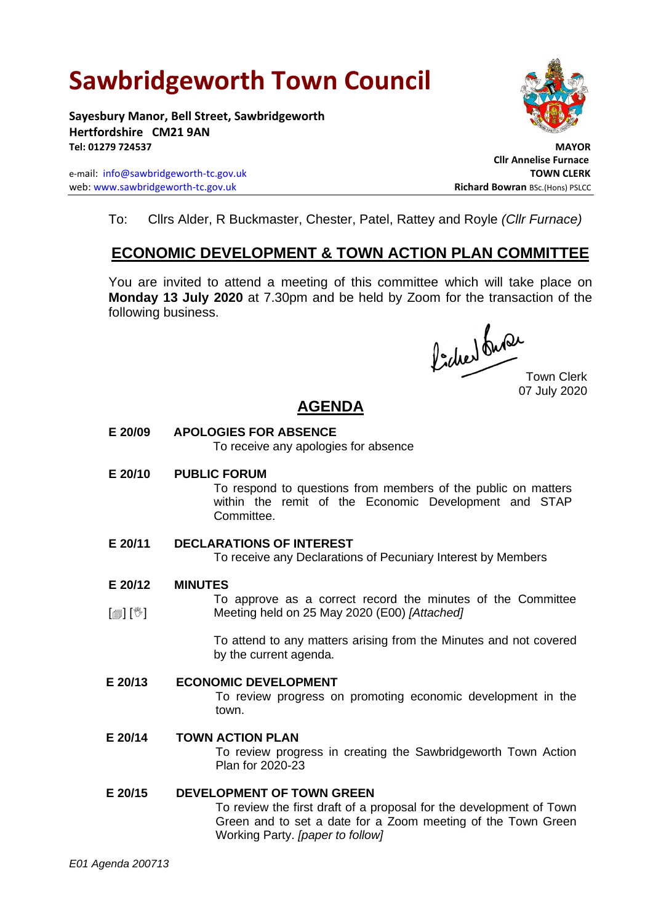# **Sawbridgeworth Town Council**

**Sayesbury Manor, Bell Street, Sawbridgeworth Hertfordshire CM21 9AN Tel: 01279 724537 MAYOR**

e-mail: [info@sawbridgeworth-tc.gov.uk](mailto:info@sawbridgeworth-tc.gov.uk) **TOWN CLERK** web: www.sawbridgeworth-tc.gov.uk<br> **Richard Bowran** BSc.(Hons) PSLCC



 **Cllr Annelise Furnace**

To: Cllrs Alder, R Buckmaster, Chester, Patel, Rattey and Royle *(Cllr Furnace)*

## **ECONOMIC DEVELOPMENT & TOWN ACTION PLAN COMMITTEE**

You are invited to attend a meeting of this committee which will take place on **Monday 13 July 2020** at 7.30pm and be held by Zoom for the transaction of the following business.

fided ture

07 July 2020

# **AGENDA**

### **E 20/09 APOLOGIES FOR ABSENCE**

To receive any apologies for absence

### **E 20/10 PUBLIC FORUM**

To respond to questions from members of the public on matters within the remit of the Economic Development and STAP Committee.

### **E 20/11 DECLARATIONS OF INTEREST**

To receive any Declarations of Pecuniary Interest by Members

#### **E 20/12 MINUTES**

[@] [<sup>w</sup>] To approve as a correct record the minutes of the Committee Meeting held on 25 May 2020 (E00) *[Attached]*

> To attend to any matters arising from the Minutes and not covered by the current agenda.

### **E 20/13 ECONOMIC DEVELOPMENT**

To review progress on promoting economic development in the town.

### **E 20/14 TOWN ACTION PLAN**

To review progress in creating the Sawbridgeworth Town Action Plan for 2020-23

### **E 20/15 DEVELOPMENT OF TOWN GREEN**

To review the first draft of a proposal for the development of Town Green and to set a date for a Zoom meeting of the Town Green Working Party. *[paper to follow]*